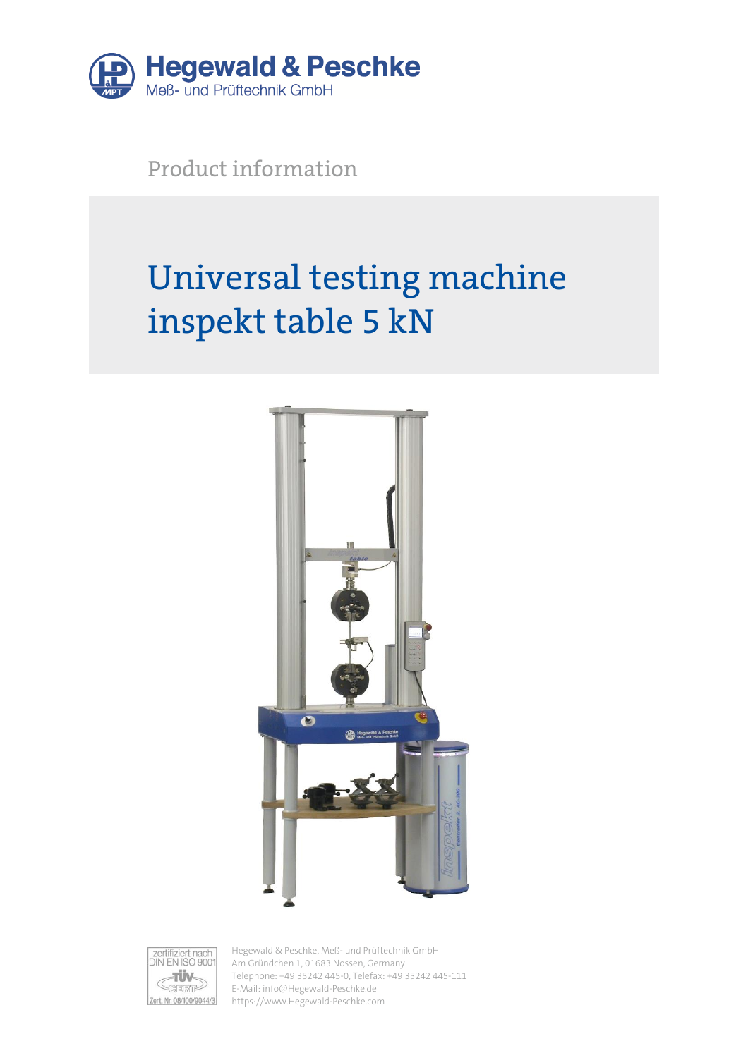

Product information

# Universal testing machine inspekt table 5 kN





Hegewald & Peschke, Meß- und Prüftechnik GmbH Am Gründchen 1, 01683 Nossen, Germany Telephone: +49 35242 445-0, Telefax: +49 35242 445-111 E-Mail: info@Hegewald-Peschke.de https://www.Hegewald-Peschke.com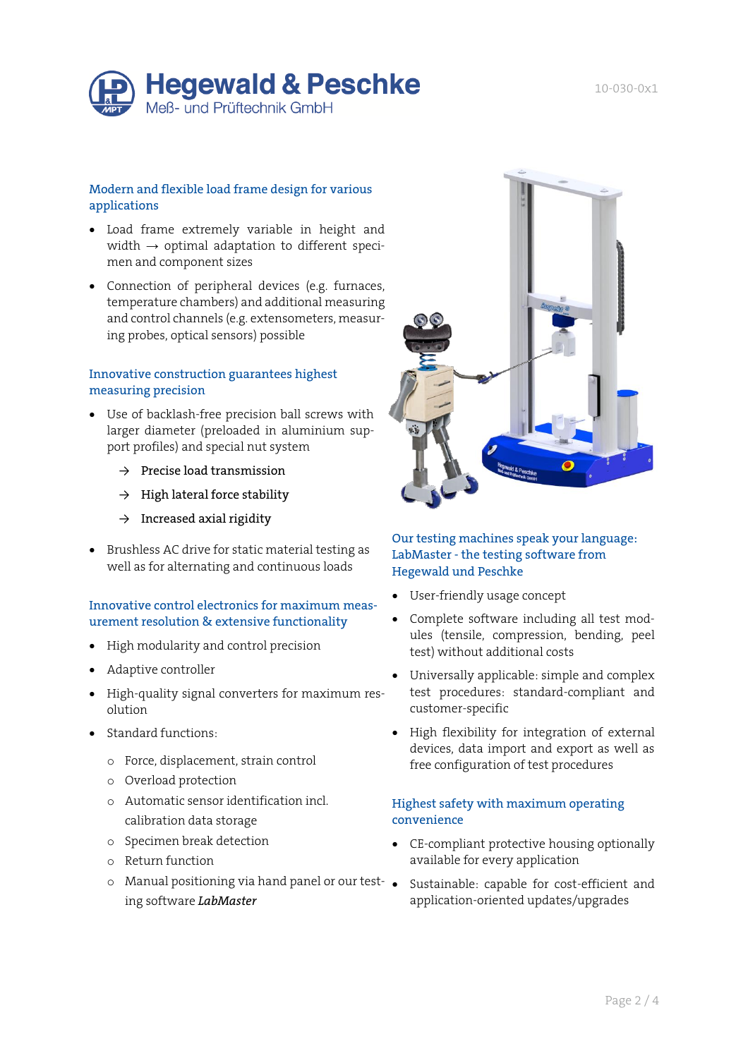

#### Modern and flexible load frame design for various applications

- Load frame extremely variable in height and width  $\rightarrow$  optimal adaptation to different specimen and component sizes
- Connection of peripheral devices (e.g. furnaces, temperature chambers) and additional measuring and control channels (e.g. extensometers, measuring probes, optical sensors) possible

#### Innovative construction guarantees highest measuring precision

- Use of backlash-free precision ball screws with larger diameter (preloaded in aluminium support profiles) and special nut system
	- $\rightarrow$  Precise load transmission
	- $\rightarrow$  High lateral force stability
	- $\rightarrow$  Increased axial rigidity
- Brushless AC drive for static material testing as well as for alternating and continuous loads

#### Innovative control electronics for maximum measurement resolution & extensive functionality

- High modularity and control precision
- Adaptive controller
- High-quality signal converters for maximum resolution
- Standard functions:
	- o Force, displacement, strain control
	- o Overload protection
	- o Automatic sensor identification incl. calibration data storage
	- o Specimen break detection
	- o Return function
	- o Manual positioning via hand panel or our testing software *LabMaster*



### Our testing machines speak your language: LabMaster - the testing software from Hegewald und Peschke

- User-friendly usage concept
- Complete software including all test modules (tensile, compression, bending, peel test) without additional costs
- Universally applicable: simple and complex test procedures: standard-compliant and customer-specific
- High flexibility for integration of external devices, data import and export as well as free configuration of test procedures

#### Highest safety with maximum operating convenience

- CE-compliant protective housing optionally available for every application
- Sustainable: capable for cost-efficient and application-oriented updates/upgrades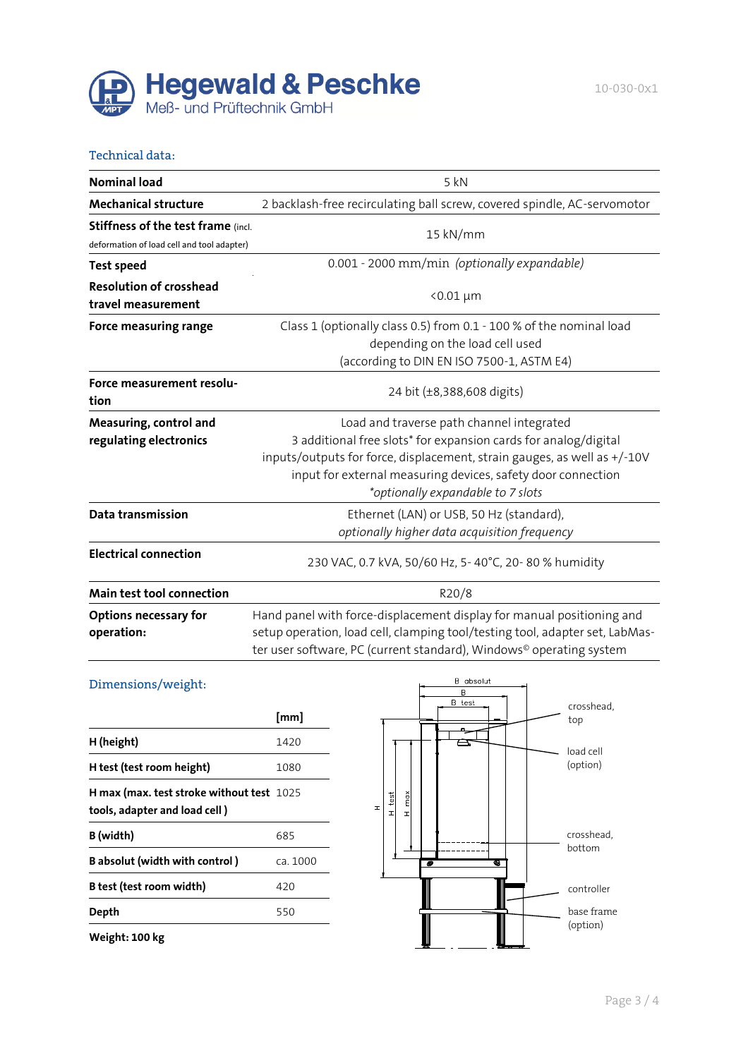

#### Technical data:

| <b>Nominal load</b>                                                              | 5 kN                                                                                                                                                                                                                                                                                          |  |  |  |  |  |  |
|----------------------------------------------------------------------------------|-----------------------------------------------------------------------------------------------------------------------------------------------------------------------------------------------------------------------------------------------------------------------------------------------|--|--|--|--|--|--|
| <b>Mechanical structure</b>                                                      | 2 backlash-free recirculating ball screw, covered spindle, AC-servomotor                                                                                                                                                                                                                      |  |  |  |  |  |  |
| Stiffness of the test frame (incl.<br>deformation of load cell and tool adapter) | 15 kN/mm                                                                                                                                                                                                                                                                                      |  |  |  |  |  |  |
| <b>Test speed</b>                                                                | 0.001 - 2000 mm/min (optionally expandable)                                                                                                                                                                                                                                                   |  |  |  |  |  |  |
| <b>Resolution of crosshead</b><br>travel measurement                             | $< 0.01 \mu m$                                                                                                                                                                                                                                                                                |  |  |  |  |  |  |
| Force measuring range                                                            | Class 1 (optionally class 0.5) from 0.1 - 100 % of the nominal load<br>depending on the load cell used<br>(according to DIN EN ISO 7500-1, ASTM E4)                                                                                                                                           |  |  |  |  |  |  |
| Force measurement resolu-<br>tion                                                | 24 bit (±8,388,608 digits)                                                                                                                                                                                                                                                                    |  |  |  |  |  |  |
| Measuring, control and<br>regulating electronics                                 | Load and traverse path channel integrated<br>3 additional free slots* for expansion cards for analog/digital<br>inputs/outputs for force, displacement, strain gauges, as well as +/-10V<br>input for external measuring devices, safety door connection<br>*optionally expandable to 7 slots |  |  |  |  |  |  |
| Data transmission                                                                | Ethernet (LAN) or USB, 50 Hz (standard),<br>optionally higher data acquisition frequency                                                                                                                                                                                                      |  |  |  |  |  |  |
| <b>Electrical connection</b>                                                     | 230 VAC, 0.7 kVA, 50/60 Hz, 5-40°C, 20-80 % humidity                                                                                                                                                                                                                                          |  |  |  |  |  |  |
| Main test tool connection                                                        | R20/8                                                                                                                                                                                                                                                                                         |  |  |  |  |  |  |
| <b>Options necessary for</b><br>operation:                                       | Hand panel with force-displacement display for manual positioning and<br>setup operation, load cell, clamping tool/testing tool, adapter set, LabMas-<br>ter user software, PC (current standard), Windows <sup>®</sup> operating system                                                      |  |  |  |  |  |  |

## Dimensions/weight:

|                                                                                    | [mm]     |
|------------------------------------------------------------------------------------|----------|
| H (height)                                                                         | 1420     |
| H test (test room height)                                                          | 1080     |
| <b>H</b> max (max. test stroke without test 1025)<br>tools, adapter and load cell) |          |
| B (width)                                                                          | 685      |
| <b>B</b> absolut (width with control)                                              | ca. 1000 |
| B test (test room width)                                                           | 420      |
| Depth                                                                              | 550      |
| Weight: 100 kg                                                                     |          |